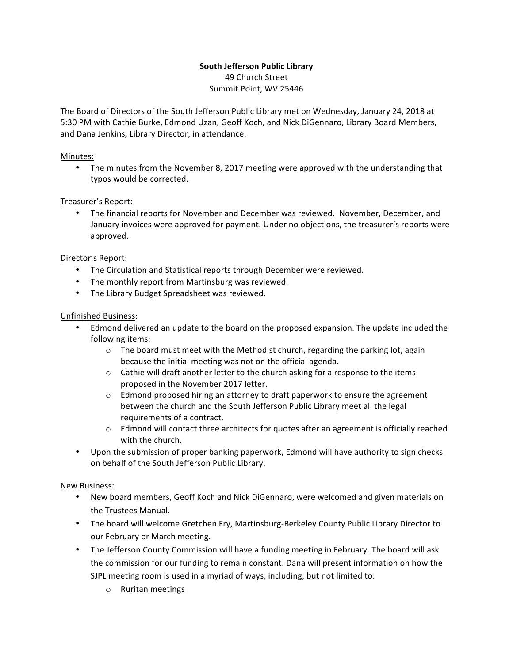### **South Jefferson Public Library** 49 Church Street Summit Point, WV 25446

The Board of Directors of the South Jefferson Public Library met on Wednesday, January 24, 2018 at 5:30 PM with Cathie Burke, Edmond Uzan, Geoff Koch, and Nick DiGennaro, Library Board Members, and Dana Jenkins, Library Director, in attendance.

### Minutes:

• The minutes from the November 8, 2017 meeting were approved with the understanding that typos would be corrected.

# Treasurer's Report:

• The financial reports for November and December was reviewed. November, December, and January invoices were approved for payment. Under no objections, the treasurer's reports were approved.

# Director's Report:

- The Circulation and Statistical reports through December were reviewed.
- The monthly report from Martinsburg was reviewed.
- The Library Budget Spreadsheet was reviewed.

### Unfinished Business:

- Edmond delivered an update to the board on the proposed expansion. The update included the following items:
	- $\circ$  The board must meet with the Methodist church, regarding the parking lot, again because the initial meeting was not on the official agenda.
	- $\circ$  Cathie will draft another letter to the church asking for a response to the items proposed in the November 2017 letter.
	- $\circ$  Edmond proposed hiring an attorney to draft paperwork to ensure the agreement between the church and the South Jefferson Public Library meet all the legal requirements of a contract.
	- $\circ$  Edmond will contact three architects for quotes after an agreement is officially reached with the church.
- Upon the submission of proper banking paperwork, Edmond will have authority to sign checks on behalf of the South Jefferson Public Library.

### New Business:

- New board members, Geoff Koch and Nick DiGennaro, were welcomed and given materials on the Trustees Manual.
- The board will welcome Gretchen Fry, Martinsburg-Berkeley County Public Library Director to our February or March meeting.
- The Jefferson County Commission will have a funding meeting in February. The board will ask the commission for our funding to remain constant. Dana will present information on how the SJPL meeting room is used in a myriad of ways, including, but not limited to:
	- o Ruritan meetings